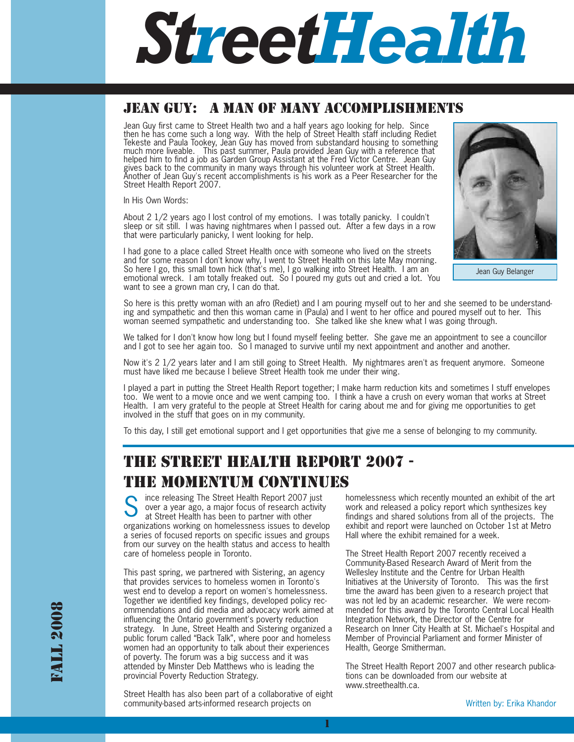# *StreetHealth*

## JEAN GUY: A MAN OF MANY ACCOMPLISHMENTS

Jean Guy first came to Street Health two and a half years ago looking for help. Since then he has come such a long way. With the help of Street Health staff including Rediet Tekeste and Paula Tookey, Jean Guy has moved from substandard housing to something much more liveable. This past summer, Paula provided Jean Guy with a reference that helped him to find a job as Garden Group Assistant at the Fred Victor Centre. Jean Guy gives back to the community in many ways through his volunteer work at Street Health. Another of Jean Guy's recent accomplishments is his work as a Peer Researcher for the Street Health Report 2007.

In His Own Words:

About 2 1/2 years ago I lost control of my emotions. I was totally panicky. I couldn't sleep or sit still. I was having nightmares when I passed out. After a few days in a row that were particularly panicky, I went looking for help.

I had gone to a place called Street Health once with someone who lived on the streets and for some reason I don't know why, I went to Street Health on this late May morning. So here I go, this small town hick (that's me), I go walking into Street Health. I am an emotional wreck. I am totally freaked out. So I poured my guts out and cried a lot. You want to see a grown man cry, I can do that.



Jean Guy Belanger

So here is this pretty woman with an afro (Rediet) and I am pouring myself out to her and she seemed to be understanding and sympathetic and then this woman came in (Paula) and I went to her office and poured myself out to her. This woman seemed sympathetic and understanding too. She talked like she knew what I was going through.

We talked for I don't know how long but I found myself feeling better. She gave me an appointment to see a councillor and I got to see her again too. So I managed to survive until my next appointment and another and another.

Now it's 2 1/2 years later and I am still going to Street Health. My nightmares aren't as frequent anymore. Someone must have liked me because I believe Street Health took me under their wing.

I played a part in putting the Street Health Report together; I make harm reduction kits and sometimes I stuff envelopes too. We went to a movie once and we went camping too. I think a have a crush on every woman that works at Street Health. I am very grateful to the people at Street Health for caring about me and for giving me opportunities to get involved in the stuff that goes on in my community.

To this day, I still get emotional support and I get opportunities that give me a sense of belonging to my community.

1

## THE STREET HEALTH REPORT 2007 - THE MOMENTUM CONTINUES

ince releasing The Street Health Report 2007 just over a year ago, a major focus of research activity at Street Health has been to partner with other organizations working on homelessness issues to develop a series of focused reports on specific issues and groups from our survey on the health status and access to health care of homeless people in Toronto. S

This past spring, we partnered with Sistering, an agency that provides services to homeless women in Toronto's west end to develop a report on women's homelessness. Together we identified key findings, developed policy recommendations and did media and advocacy work aimed at influencing the Ontario government's poverty reduction strategy. In June, Street Health and Sistering organized a public forum called "Back Talk", where poor and homeless women had an opportunity to talk about their experiences of poverty. The forum was a big success and it was attended by Minster Deb Matthews who is leading the provincial Poverty Reduction Strategy.

Street Health has also been part of a collaborative of eight community-based arts-informed research projects on

homelessness which recently mounted an exhibit of the art work and released a policy report which synthesizes key findings and shared solutions from all of the projects. The exhibit and report were launched on October 1st at Metro Hall where the exhibit remained for a week.

The Street Health Report 2007 recently received a Community-Based Research Award of Merit from the Wellesley Institute and the Centre for Urban Health Initiatives at the University of Toronto. This was the first time the award has been given to a research project that was not led by an academic researcher. We were recommended for this award by the Toronto Central Local Health Integration Network, the Director of the Centre for Research on Inner City Health at St. Michael's Hospital and Member of Provincial Parliament and former Minister of Health, George Smitherman.

The Street Health Report 2007 and other research publications can be downloaded from our website at www.streethealth.ca.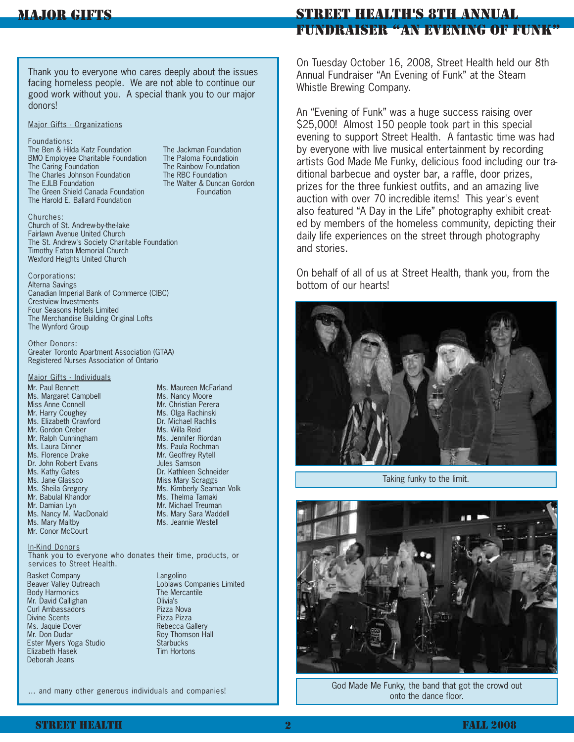Thank you to everyone who cares deeply about the issues facing homeless people. We are not able to continue our good work without you. A special thank you to our major donors!

Major Gifts - Organizations

Foundations: The Ben & Hilda Katz Foundation The Jackman Foundation BMO Employee Charitable Foundation The Paloma Foundatioin The Caring Foundation The Rainbow Foundation The Charles Johnson Foundation The RBC Foundation The EJLB Foundation The Walter & Duncan Gordon The Green Shield Canada Foundation Foundation The Harold E. Ballard Foundation

#### Churches:

Church of St. Andrew-by-the-lake Fairlawn Avenue United Church The St. Andrew's Society Charitable Foundation Timothy Eaton Memorial Church Wexford Heights United Church

Corporations: Alterna Savings Canadian Imperial Bank of Commerce (CIBC) Crestview Investments Four Seasons Hotels Limited The Merchandise Building Original Lofts The Wynford Group

Other Donors: Greater Toronto Apartment Association (GTAA) Registered Nurses Association of Ontario

#### Major Gifts - Individuals

Mr. Paul Bennett **Mr. Court Mr. Court Mr. Court Mr. And Mr.** Court Mr. Maureen McFarland man Call Behmett<br>Ms. Margaret Campbell Ms. Nancy Moore Ms. Margaret Campbell Mr. Christian Perera Mr. Christian Perera Miss Anne Connelly Ms. Olga Rachinski Ms. Olga Rachinski man runny occi<sub>dency</sub><br>Ms. Elizabeth Crawford Dr. Michael Rachlis Mr. Ralph Cunningham Ms. Jennifer Riordan Mr. Gordon Creber man den den en der den der Manham Ministrum Ministrum Ministrum Ministrum Ministrum Ministrum Ministrum Minist<br>Mr. Ralph Cunningham man Robert Evans Man Robert Evans Mr. Geoffrey Rytell and The Common Research<br>Ms. Laura Dinner Mr. Paula Rochman Ms. Kathy Gates Dr. Kathleen Schneider Mr. Geoffrey Rytell ms. Holonics Branch<br>Dr. John Robert Evans Mary Scriptus Samson Ms. Sheila Gregory Ms. Thelma Tamaki Dr. Kathleen Schneider Mr. Babulal Khandor Mr. Michael Treuman Miss Mary Scraggs mer can't diases of the man military services of the man which was a man which was a man which was a man which<br>Ms. Sheila Gregory mer enema aregery<br>Mr. Babulal Khandor Ms. Thelma Tamaki ms. Babatai Analiae.<br>Mr. Damian Lyn Mr. Paul Bennett Miss Anne Connell Mr. Harry Coughey Mr. Ralph Cunningham Ms. Laura Dinner Ms. Florence Drake Ms. Kathy Gates Ms. Jane Glassco Ms. Sheila Gregory Mr. Damian Lyn Ms. Nancy M. MacDonald Ms. Mary Maltby Mr. Conor McCourt

In-Kind Donors

Thank you to everyone who donates their time, products, or services to Street Health.

Basket Company Beaver Valley Outreach Body Harmonics Mr. David Callighan Curl Ambassadors Divine Scents Ms. Jaquie Dover Mr. Don Dudar Ester Myers Yoga Studio Elizabeth Hasek Deborah Jeans

Langolino Loblaws Companies Limited The Mercantile Olivia's Pizza Nova Pizza Pizza Rebecca Gallery Roy Thomson Hall **Starbucks** Tim Hortons

Ms. Nancy Moore

Dr. Michael Rachlis Ms. Willa Reid

Jules Samson

Ms. Thelma Tamaki Ms. Mary Sara Waddell Ms. Jeannie Westell

… and many other generous individuals and companies!

## STREET HEALTH'S 8TH ANNUAL FUNDRAISER "AN EVENING OF FUNK"

On Tuesday October 16, 2008, Street Health held our 8th Annual Fundraiser "An Evening of Funk" at the Steam Whistle Brewing Company.

An "Evening of Funk" was a huge success raising over \$25,000! Almost 150 people took part in this special evening to support Street Health. A fantastic time was had by everyone with live musical entertainment by recording artists God Made Me Funky, delicious food including our traditional barbecue and oyster bar, a raffle, door prizes, prizes for the three funkiest outfits, and an amazing live auction with over 70 incredible items! This year's event also featured "A Day in the Life" photography exhibit created by members of the homeless community, depicting their daily life experiences on the street through photography and stories.

On behalf of all of us at Street Health, thank you, from the bottom of our hearts!



Taking funky to the limit.



God Made Me Funky, the band that got the crowd out onto the dance floor.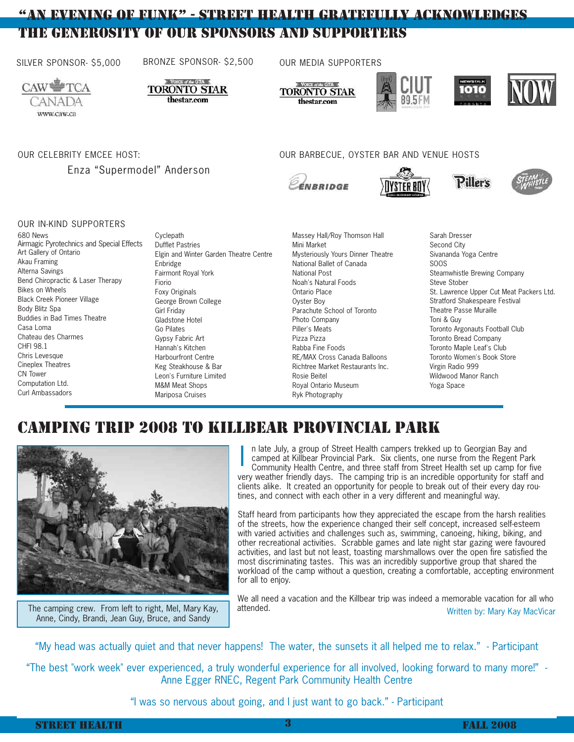## "AN EVENING OF FUNK" - STREET HEALTH GRATEFULLY ACKNOWLEDGES THE GENEROSITY OF OUR SPONSORS AND SUPPORTERS

SILVER SPONSOR- \$5,000 BRONZE SPONSOR- \$2,500 OUR MEDIA SUPPORTERS

www.caw.ca

VOICE of the GTA **TORONTO STAR** thestar.com







010

**Piller's** 



OUR CELEBRITY EMCEE HOST:

Enza "Supermodel" Anderson

OUR BARBECUE, OYSTER BAR AND VENUE HOSTS







#### OUR IN-KIND SUPPORTERS

680 News Airmagic Pyrotechnics and Special Effects Art Gallery of Ontario Akau Framing Alterna Savings Bend Chiropractic & Laser Therapy Bikes on Wheels Black Creek Pioneer Village Body Blitz Spa Buddies in Bad Times Theatre Casa Loma Chateau des Charmes CHFI 98.1 Chris Levesque Cineplex Theatres CN Tower Computation Ltd. Curl Ambassadors

**Cyclepath** Dufflet Pastries Elgin and Winter Garden Theatre Centre Enbridge Fairmont Royal York Fiorio Foxy Originals George Brown College Girl Friday Gladstone Hotel Go Pilates Gypsy Fabric Art Hannah's Kitchen Harbourfront Centre Keg Steakhouse & Bar Leon's Furniture Limited M&M Meat Shops Mariposa Cruises

Massey Hall/Roy Thomson Hall Mini Market Mysteriously Yours Dinner Theatre National Ballet of Canada National Post Noah's Natural Foods Ontario Place Oyster Boy Parachute School of Toronto Photo Company Piller's Meats Pizza Pizza Rabba Fine Foods RE/MAX Cross Canada Balloons Richtree Market Restaurants Inc. Rosie Beitel Royal Ontario Museum Ryk Photography

Sarah Dresser Second City Sivananda Yoga Centre SOOS Steamwhistle Brewing Company Steve Stober St. Lawrence Upper Cut Meat Packers Ltd. Stratford Shakespeare Festival Theatre Passe Muraille Toni & Guy Toronto Argonauts Football Club Toronto Bread Company Toronto Maple Leaf's Club Toronto Women's Book Store Virgin Radio 999 Wildwood Manor Ranch Yoga Space

# CAMPING TRIP 2008 TO KILLBEAR PROVINCIAL PARK



The camping crew. From left to right, Mel, Mary Kay,

n late July, a group of Street Health campers trekked up to Georgian Bay and camped at Killbear Provincial Park. Six clients, one nurse from the Regent Park Community Health Centre, and three staff from Street Health set up camp for five very weather friendly days. The camping trip is an incredible opportunity for staff and clients alike. It created an opportunity for people to break out of their every day routines, and connect with each other in a very different and meaningful way. I

Staff heard from participants how they appreciated the escape from the harsh realities of the streets, how the experience changed their self concept, increased self-esteem with varied activities and challenges such as, swimming, canoeing, hiking, biking, and other recreational activities. Scrabble games and late night star gazing were favoured activities, and last but not least, toasting marshmallows over the open fire satisfied the most discriminating tastes. This was an incredibly supportive group that shared the workload of the camp without a question, creating a comfortable, accepting environment for all to enjoy.

We all need a vacation and the Killbear trip was indeed a memorable vacation for all who attended. e camping crew. From left to right, wei, wary Kay, a attended.<br>Anne, Cindy, Brandi, Jean Guy, Bruce, and Sandy Wallem Brown Martin by: Mary Kay MacVicar

"My head was actually quiet and that never happens! The water, the sunsets it all helped me to relax." - Participant

"The best "work week" ever experienced, a truly wonderful experience for all involved, looking forward to many more!" - Anne Egger RNEC, Regent Park Community Health Centre

"I was so nervous about going, and I just want to go back." - Participant